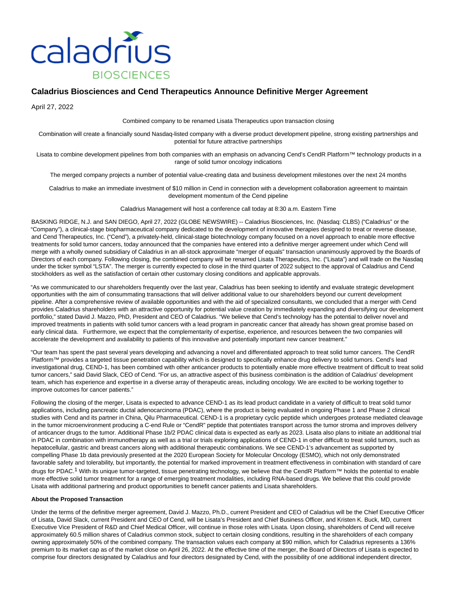

# **Caladrius Biosciences and Cend Therapeutics Announce Definitive Merger Agreement**

April 27, 2022

Combined company to be renamed Lisata Therapeutics upon transaction closing

Combination will create a financially sound Nasdaq-listed company with a diverse product development pipeline, strong existing partnerships and potential for future attractive partnerships

Lisata to combine development pipelines from both companies with an emphasis on advancing Cend's CendR Platform™ technology products in a range of solid tumor oncology indications

The merged company projects a number of potential value-creating data and business development milestones over the next 24 months

Caladrius to make an immediate investment of \$10 million in Cend in connection with a development collaboration agreement to maintain development momentum of the Cend pipeline

Caladrius Management will host a conference call today at 8:30 a.m. Eastern Time

BASKING RIDGE, N.J. and SAN DIEGO, April 27, 2022 (GLOBE NEWSWIRE) -- Caladrius Biosciences, Inc. (Nasdaq: CLBS) ("Caladrius" or the "Company"), a clinical-stage biopharmaceutical company dedicated to the development of innovative therapies designed to treat or reverse disease, and Cend Therapeutics, Inc. ("Cend"), a privately-held, clinical-stage biotechnology company focused on a novel approach to enable more effective treatments for solid tumor cancers, today announced that the companies have entered into a definitive merger agreement under which Cend will merge with a wholly owned subsidiary of Caladrius in an all-stock approximate "merger of equals" transaction unanimously approved by the Boards of Directors of each company. Following closing, the combined company will be renamed Lisata Therapeutics, Inc. ("Lisata") and will trade on the Nasdaq under the ticker symbol "LSTA". The merger is currently expected to close in the third quarter of 2022 subject to the approval of Caladrius and Cend stockholders as well as the satisfaction of certain other customary closing conditions and applicable approvals.

"As we communicated to our shareholders frequently over the last year, Caladrius has been seeking to identify and evaluate strategic development opportunities with the aim of consummating transactions that will deliver additional value to our shareholders beyond our current development pipeline. After a comprehensive review of available opportunities and with the aid of specialized consultants, we concluded that a merger with Cend provides Caladrius shareholders with an attractive opportunity for potential value creation by immediately expanding and diversifying our development portfolio," stated David J. Mazzo, PhD, President and CEO of Caladrius. "We believe that Cend's technology has the potential to deliver novel and improved treatments in patients with solid tumor cancers with a lead program in pancreatic cancer that already has shown great promise based on early clinical data. Furthermore, we expect that the complementarity of expertise, experience, and resources between the two companies will accelerate the development and availability to patients of this innovative and potentially important new cancer treatment."

"Our team has spent the past several years developing and advancing a novel and differentiated approach to treat solid tumor cancers. The CendR Platform™ provides a targeted tissue penetration capability which is designed to specifically enhance drug delivery to solid tumors. Cend's lead investigational drug, CEND-1, has been combined with other anticancer products to potentially enable more effective treatment of difficult to treat solid tumor cancers," said David Slack, CEO of Cend. "For us, an attractive aspect of this business combination is the addition of Caladrius' development team, which has experience and expertise in a diverse array of therapeutic areas, including oncology. We are excited to be working together to improve outcomes for cancer patients."

Following the closing of the merger, Lisata is expected to advance CEND-1 as its lead product candidate in a variety of difficult to treat solid tumor applications, including pancreatic ductal adenocarcinoma (PDAC), where the product is being evaluated in ongoing Phase 1 and Phase 2 clinical studies with Cend and its partner in China, Qilu Pharmaceutical. CEND-1 is a proprietary cyclic peptide which undergoes protease mediated cleavage in the tumor microenvironment producing a C-end Rule or "CendR" peptide that potentiates transport across the tumor stroma and improves delivery of anticancer drugs to the tumor. Additional Phase 1b/2 PDAC clinical data is expected as early as 2023. Lisata also plans to initiate an additional trial in PDAC in combination with immunotherapy as well as a trial or trials exploring applications of CEND-1 in other difficult to treat solid tumors, such as hepatocellular, gastric and breast cancers along with additional therapeutic combinations. We see CEND-1's advancement as supported by compelling Phase 1b data previously presented at the 2020 European Society for Molecular Oncology (ESMO), which not only demonstrated favorable safety and tolerability, but importantly, the potential for marked improvement in treatment effectiveness in combination with standard of care drugs for PDAC.1 With its unique tumor-targeted, tissue penetrating technology, we believe that the CendR Platform™ holds the potential to enable more effective solid tumor treatment for a range of emerging treatment modalities, including RNA-based drugs. We believe that this could provide Lisata with additional partnering and product opportunities to benefit cancer patients and Lisata shareholders.

## **About the Proposed Transaction**

Under the terms of the definitive merger agreement, David J. Mazzo, Ph.D., current President and CEO of Caladrius will be the Chief Executive Officer of Lisata, David Slack, current President and CEO of Cend, will be Lisata's President and Chief Business Officer, and Kristen K. Buck, MD, current Executive Vice President of R&D and Chief Medical Officer, will continue in those roles with Lisata. Upon closing, shareholders of Cend will receive approximately 60.5 million shares of Caladrius common stock, subject to certain closing conditions, resulting in the shareholders of each company owning approximately 50% of the combined company. The transaction values each company at \$90 million, which for Caladrius represents a 136% premium to its market cap as of the market close on April 26, 2022. At the effective time of the merger, the Board of Directors of Lisata is expected to comprise four directors designated by Caladrius and four directors designated by Cend, with the possibility of one additional independent director,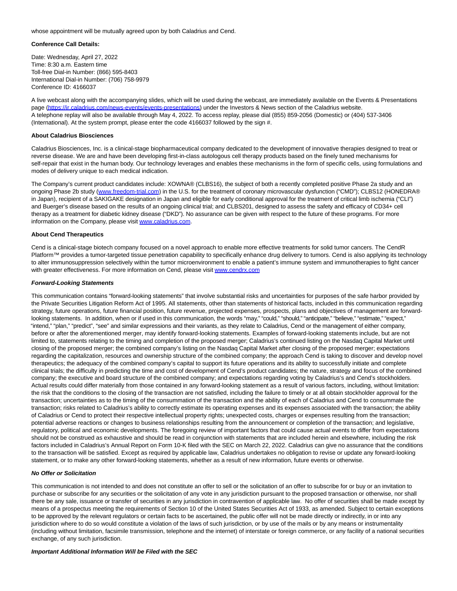whose appointment will be mutually agreed upon by both Caladrius and Cend.

# **Conference Call Details:**

Date: Wednesday, April 27, 2022 Time: 8:30 a.m. Eastern time Toll-free Dial-in Number: (866) 595-8403 International Dial-in Number: (706) 758-9979 Conference ID: 4166037

A live webcast along with the accompanying slides, which will be used during the webcast, are immediately available on the Events & Presentations page [\(https://ir.caladrius.com/news-events/events-presentations\)](https://www.globenewswire.com/Tracker?data=OQ3TcJ2k9p0mTPkS8wdXLqQhsO9WhMApP7DTgThesDJIVFxuD_jILvqcC_o9jhtOtatqdO1bkm96gc-gxAoXzQ0bED9R0YNAT0Yv9DasHQzg3ApwZ9vll7dVFzao9z1dDOmUWBqQffx6OrWSYekv9RPNX1-IZ2y0tRFrXTBcVEIbm4uRxoDiYs-tmc0YuOm2) under the Investors & News section of the Caladrius website. A telephone replay will also be available through May 4, 2022. To access replay, please dial (855) 859-2056 (Domestic) or (404) 537-3406 (International). At the system prompt, please enter the code 4166037 followed by the sign #.

# **About Caladrius Biosciences**

Caladrius Biosciences, Inc. is a clinical-stage biopharmaceutical company dedicated to the development of innovative therapies designed to treat or reverse disease. We are and have been developing first-in-class autologous cell therapy products based on the finely tuned mechanisms for self-repair that exist in the human body. Our technology leverages and enables these mechanisms in the form of specific cells, using formulations and modes of delivery unique to each medical indication.

The Company's current product candidates include: XOWNA® (CLBS16), the subject of both a recently completed positive Phase 2a study and an ongoing Phase 2b study [\(www.freedom-trial.com\)](https://www.globenewswire.com/Tracker?data=-rwzIE_HTyYVaF3dZaO5Ft-DIx9s11oo8up_PXm2FEln5ujlm2TunResFmVxSyM7mMK8iClkbJoABlf61RLgv0xdDYo7CtqtQkbqltQEL5k=) in the U.S. for the treatment of coronary microvascular dysfunction ("CMD"); CLBS12 (HONEDRA® in Japan), recipient of a SAKIGAKE designation in Japan and eligible for early conditional approval for the treatment of critical limb ischemia ("CLI") and Buerger's disease based on the results of an ongoing clinical trial; and CLBS201, designed to assess the safety and efficacy of CD34+ cell therapy as a treatment for diabetic kidney disease ("DKD"). No assurance can be given with respect to the future of these programs. For more information on the Company, please visit [www.caladrius.com.](https://www.globenewswire.com/Tracker?data=FMUyy3kCc1jfI1Av70LFJ5wi-mT9PbNf7yfseg5eZOaQCJuWaM-aKTF_uANpDBjGa7sVtAo6NFOU12Q5zjJJ9g==)

# **About Cend Therapeutics**

Cend is a clinical-stage biotech company focused on a novel approach to enable more effective treatments for solid tumor cancers. The CendR Platform™ provides a tumor-targeted tissue penetration capability to specifically enhance drug delivery to tumors. Cend is also applying its technology to alter immunosuppression selectively within the tumor microenvironment to enable a patient's immune system and immunotherapies to fight cancer with greater effectiveness. For more information on Cend, please visit www.cendrx.com

## **Forward-Looking Statements**

This communication contains "forward-looking statements" that involve substantial risks and uncertainties for purposes of the safe harbor provided by the Private Securities Litigation Reform Act of 1995. All statements, other than statements of historical facts, included in this communication regarding strategy, future operations, future financial position, future revenue, projected expenses, prospects, plans and objectives of management are forwardlooking statements. In addition, when or if used in this communication, the words "may," "could," "should," "anticipate," "believe," "estimate," "expect," "intend," "plan," "predict", "see" and similar expressions and their variants, as they relate to Caladrius, Cend or the management of either company, before or after the aforementioned merger, may identify forward-looking statements. Examples of forward-looking statements include, but are not limited to, statements relating to the timing and completion of the proposed merger; Caladrius's continued listing on the Nasdaq Capital Market until closing of the proposed merger; the combined company's listing on the Nasdaq Capital Market after closing of the proposed merger; expectations regarding the capitalization, resources and ownership structure of the combined company; the approach Cend is taking to discover and develop novel therapeutics; the adequacy of the combined company's capital to support its future operations and its ability to successfully initiate and complete clinical trials; the difficulty in predicting the time and cost of development of Cend's product candidates; the nature, strategy and focus of the combined company; the executive and board structure of the combined company; and expectations regarding voting by Caladrius's and Cend's stockholders. Actual results could differ materially from those contained in any forward-looking statement as a result of various factors, including, without limitation: the risk that the conditions to the closing of the transaction are not satisfied, including the failure to timely or at all obtain stockholder approval for the transaction; uncertainties as to the timing of the consummation of the transaction and the ability of each of Caladrius and Cend to consummate the transaction; risks related to Caladrius's ability to correctly estimate its operating expenses and its expenses associated with the transaction; the ability of Caladrius or Cend to protect their respective intellectual property rights; unexpected costs, charges or expenses resulting from the transaction; potential adverse reactions or changes to business relationships resulting from the announcement or completion of the transaction; and legislative, regulatory, political and economic developments. The foregoing review of important factors that could cause actual events to differ from expectations should not be construed as exhaustive and should be read in conjunction with statements that are included herein and elsewhere, including the risk factors included in Caladrius's Annual Report on Form 10-K filed with the SEC on March 22, 2022. Caladrius can give no assurance that the conditions to the transaction will be satisfied. Except as required by applicable law, Caladrius undertakes no obligation to revise or update any forward-looking statement, or to make any other forward-looking statements, whether as a result of new information, future events or otherwise.

## **No Offer or Solicitation**

This communication is not intended to and does not constitute an offer to sell or the solicitation of an offer to subscribe for or buy or an invitation to purchase or subscribe for any securities or the solicitation of any vote in any jurisdiction pursuant to the proposed transaction or otherwise, nor shall there be any sale, issuance or transfer of securities in any jurisdiction in contravention of applicable law. No offer of securities shall be made except by means of a prospectus meeting the requirements of Section 10 of the United States Securities Act of 1933, as amended. Subject to certain exceptions to be approved by the relevant regulators or certain facts to be ascertained, the public offer will not be made directly or indirectly, in or into any jurisdiction where to do so would constitute a violation of the laws of such jurisdiction, or by use of the mails or by any means or instrumentality (including without limitation, facsimile transmission, telephone and the internet) of interstate or foreign commerce, or any facility of a national securities exchange, of any such jurisdiction.

## **Important Additional Information Will be Filed with the SEC**